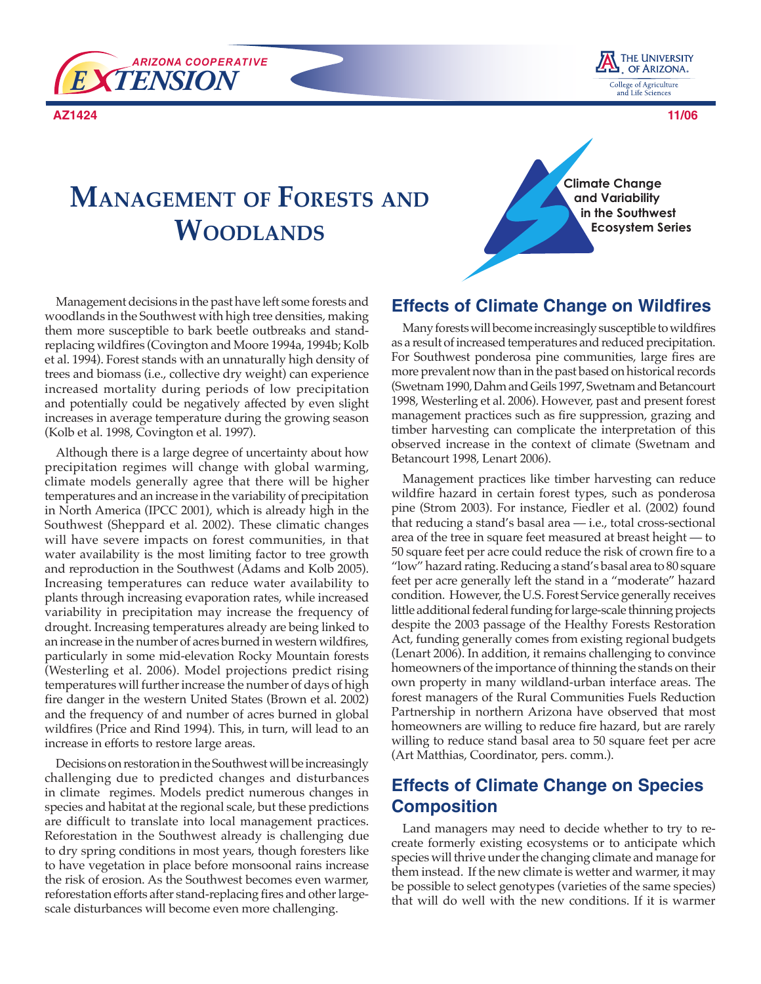

**AZ1424 11/06**



# **MANAGEMENT OF FORESTS AND WOODLANDS**

**Climate Change and Variability in the Southwest Ecosystem Series** 

Management decisions in the past have left some forests and woodlands in the Southwest with high tree densities, making them more susceptible to bark beetle outbreaks and standreplacing wildfires (Covington and Moore 1994a, 1994b; Kolb et al. 1994). Forest stands with an unnaturally high density of trees and biomass (i.e., collective dry weight) can experience increased mortality during periods of low precipitation and potentially could be negatively affected by even slight increases in average temperature during the growing season (Kolb et al. 1998, Covington et al. 1997).

Although there is a large degree of uncertainty about how precipitation regimes will change with global warming, climate models generally agree that there will be higher temperatures and an increase in the variability of precipitation in North America (IPCC 2001), which is already high in the Southwest (Sheppard et al. 2002). These climatic changes will have severe impacts on forest communities, in that water availability is the most limiting factor to tree growth and reproduction in the Southwest (Adams and Kolb 2005). Increasing temperatures can reduce water availability to plants through increasing evaporation rates, while increased variability in precipitation may increase the frequency of drought. Increasing temperatures already are being linked to an increase in the number of acres burned in western wildfires, particularly in some mid-elevation Rocky Mountain forests (Westerling et al. 2006). Model projections predict rising temperatures will further increase the number of days of high fire danger in the western United States (Brown et al. 2002) and the frequency of and number of acres burned in global wildfires (Price and Rind 1994). This, in turn, will lead to an increase in efforts to restore large areas.

Decisions on restoration in the Southwest will be increasingly challenging due to predicted changes and disturbances in climate regimes. Models predict numerous changes in species and habitat at the regional scale, but these predictions are difficult to translate into local management practices. Reforestation in the Southwest already is challenging due to dry spring conditions in most years, though foresters like to have vegetation in place before monsoonal rains increase the risk of erosion. As the Southwest becomes even warmer, reforestation efforts after stand-replacing fires and other largescale disturbances will become even more challenging.

#### **Effects of Climate Change on Wildfires**

Many forests will become increasingly susceptible to wildfires as a result of increased temperatures and reduced precipitation. For Southwest ponderosa pine communities, large fires are more prevalent now than in the past based on historical records (Swetnam 1990, Dahm and Geils 1997, Swetnam and Betancourt 1998, Westerling et al. 2006). However, past and present forest management practices such as fire suppression, grazing and timber harvesting can complicate the interpretation of this observed increase in the context of climate (Swetnam and Betancourt 1998, Lenart 2006).

Management practices like timber harvesting can reduce wildfire hazard in certain forest types, such as ponderosa pine (Strom 2003). For instance, Fiedler et al. (2002) found that reducing a stand's basal area — i.e., total cross-sectional area of the tree in square feet measured at breast height — to 50 square feet per acre could reduce the risk of crown fire to a "low" hazard rating. Reducing a stand's basal area to 80 square feet per acre generally left the stand in a "moderate" hazard condition. However, the U.S. Forest Service generally receives little additional federal funding for large-scale thinning projects despite the 2003 passage of the Healthy Forests Restoration Act, funding generally comes from existing regional budgets (Lenart 2006). In addition, it remains challenging to convince homeowners of the importance of thinning the stands on their own property in many wildland-urban interface areas. The forest managers of the Rural Communities Fuels Reduction Partnership in northern Arizona have observed that most homeowners are willing to reduce fire hazard, but are rarely willing to reduce stand basal area to 50 square feet per acre (Art Matthias, Coordinator, pers. comm.).

## **Effects of Climate Change on Species Composition**

Land managers may need to decide whether to try to recreate formerly existing ecosystems or to anticipate which species will thrive under the changing climate and manage for them instead. If the new climate is wetter and warmer, it may be possible to select genotypes (varieties of the same species) that will do well with the new conditions. If it is warmer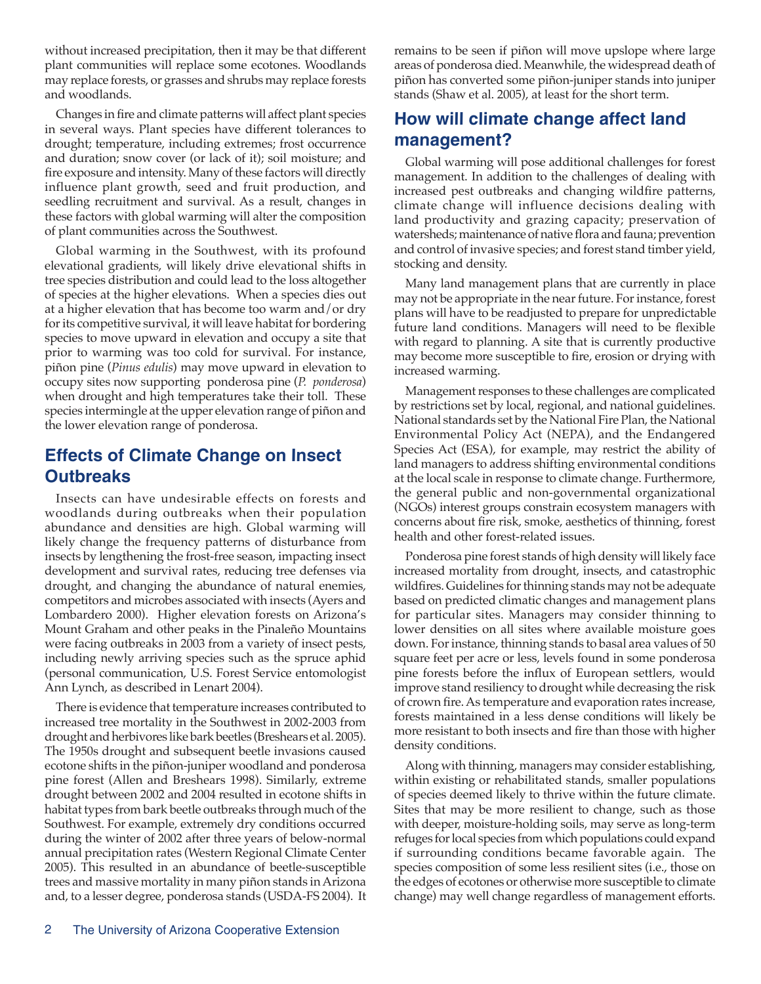without increased precipitation, then it may be that different plant communities will replace some ecotones. Woodlands may replace forests, or grasses and shrubs may replace forests and woodlands.

Changes in fire and climate patterns will affect plant species in several ways. Plant species have different tolerances to drought; temperature, including extremes; frost occurrence and duration; snow cover (or lack of it); soil moisture; and fire exposure and intensity. Many of these factors will directly influence plant growth, seed and fruit production, and seedling recruitment and survival. As a result, changes in these factors with global warming will alter the composition of plant communities across the Southwest.

Global warming in the Southwest, with its profound elevational gradients, will likely drive elevational shifts in tree species distribution and could lead to the loss altogether of species at the higher elevations. When a species dies out at a higher elevation that has become too warm and/or dry for its competitive survival, it will leave habitat for bordering species to move upward in elevation and occupy a site that prior to warming was too cold for survival. For instance, piñon pine (*Pinus edulis*) may move upward in elevation to occupy sites now supporting ponderosa pine (*P. ponderosa*) when drought and high temperatures take their toll. These species intermingle at the upper elevation range of piñon and the lower elevation range of ponderosa.

## **Effects of Climate Change on Insect Outbreaks**

Insects can have undesirable effects on forests and woodlands during outbreaks when their population abundance and densities are high. Global warming will likely change the frequency patterns of disturbance from insects by lengthening the frost-free season, impacting insect development and survival rates, reducing tree defenses via drought, and changing the abundance of natural enemies, competitors and microbes associated with insects (Ayers and Lombardero 2000). Higher elevation forests on Arizona's Mount Graham and other peaks in the Pinaleño Mountains were facing outbreaks in 2003 from a variety of insect pests, including newly arriving species such as the spruce aphid (personal communication, U.S. Forest Service entomologist Ann Lynch, as described in Lenart 2004).

There is evidence that temperature increases contributed to increased tree mortality in the Southwest in 2002-2003 from drought and herbivores like bark beetles (Breshears et al. 2005). The 1950s drought and subsequent beetle invasions caused ecotone shifts in the piñon-juniper woodland and ponderosa pine forest (Allen and Breshears 1998). Similarly, extreme drought between 2002 and 2004 resulted in ecotone shifts in habitat types from bark beetle outbreaks through much of the Southwest. For example, extremely dry conditions occurred during the winter of 2002 after three years of below-normal annual precipitation rates (Western Regional Climate Center 2005). This resulted in an abundance of beetle-susceptible trees and massive mortality in many piñon stands in Arizona and, to a lesser degree, ponderosa stands (USDA-FS 2004). It remains to be seen if piñon will move upslope where large areas of ponderosa died. Meanwhile, the widespread death of piñon has converted some piñon-juniper stands into juniper stands (Shaw et al. 2005), at least for the short term.

### **How will climate change affect land management?**

Global warming will pose additional challenges for forest management. In addition to the challenges of dealing with increased pest outbreaks and changing wildfire patterns, climate change will influence decisions dealing with land productivity and grazing capacity; preservation of watersheds; maintenance of native flora and fauna; prevention and control of invasive species; and forest stand timber yield, stocking and density.

Many land management plans that are currently in place may not be appropriate in the near future. For instance, forest plans will have to be readjusted to prepare for unpredictable future land conditions. Managers will need to be flexible with regard to planning. A site that is currently productive may become more susceptible to fire, erosion or drying with increased warming.

Management responses to these challenges are complicated by restrictions set by local, regional, and national guidelines. National standards set by the National Fire Plan, the National Environmental Policy Act (NEPA), and the Endangered Species Act (ESA), for example, may restrict the ability of land managers to address shifting environmental conditions at the local scale in response to climate change. Furthermore, the general public and non-governmental organizational (NGOs) interest groups constrain ecosystem managers with concerns about fire risk, smoke, aesthetics of thinning, forest health and other forest-related issues.

Ponderosa pine forest stands of high density will likely face increased mortality from drought, insects, and catastrophic wildfires. Guidelines for thinning stands may not be adequate based on predicted climatic changes and management plans for particular sites. Managers may consider thinning to lower densities on all sites where available moisture goes down. For instance, thinning stands to basal area values of 50 square feet per acre or less, levels found in some ponderosa pine forests before the influx of European settlers, would improve stand resiliency to drought while decreasing the risk of crown fire. As temperature and evaporation rates increase, forests maintained in a less dense conditions will likely be more resistant to both insects and fire than those with higher density conditions.

Along with thinning, managers may consider establishing, within existing or rehabilitated stands, smaller populations of species deemed likely to thrive within the future climate. Sites that may be more resilient to change, such as those with deeper, moisture-holding soils, may serve as long-term refuges for local species from which populations could expand if surrounding conditions became favorable again. The species composition of some less resilient sites (i.e., those on the edges of ecotones or otherwise more susceptible to climate change) may well change regardless of management efforts.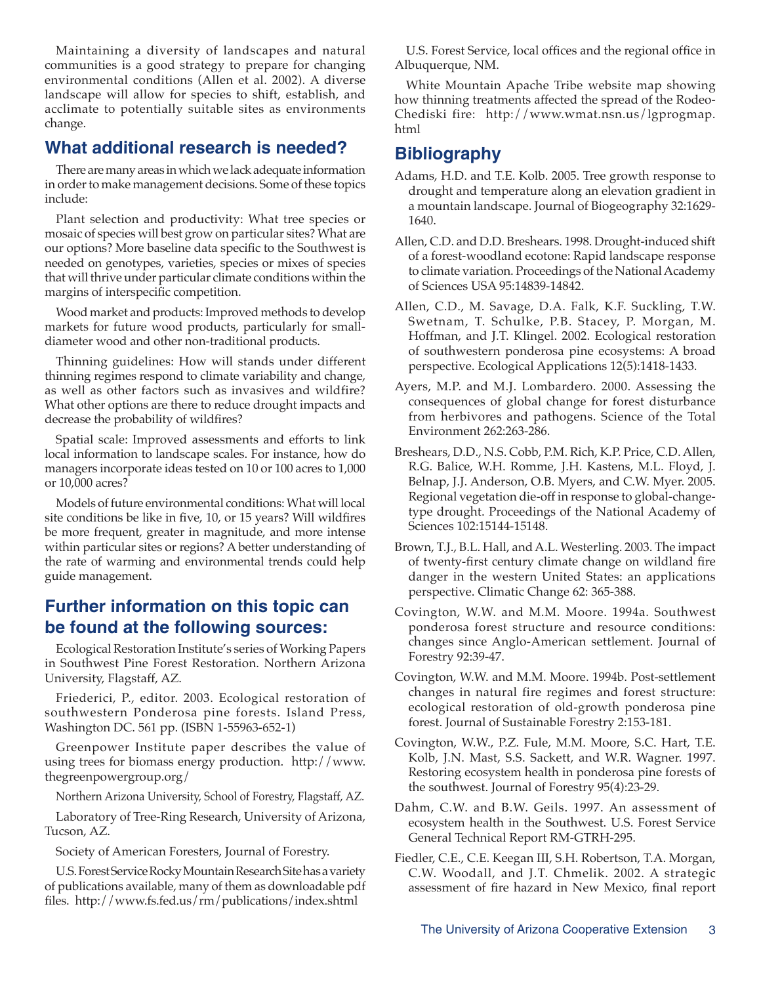Maintaining a diversity of landscapes and natural communities is a good strategy to prepare for changing environmental conditions (Allen et al. 2002). A diverse landscape will allow for species to shift, establish, and acclimate to potentially suitable sites as environments change.

#### **What additional research is needed?**

There are many areas in which we lack adequate information in order to make management decisions. Some of these topics include:

Plant selection and productivity: What tree species or mosaic of species will best grow on particular sites? What are our options? More baseline data specific to the Southwest is needed on genotypes, varieties, species or mixes of species that will thrive under particular climate conditions within the margins of interspecific competition.

Wood market and products: Improved methods to develop markets for future wood products, particularly for smalldiameter wood and other non-traditional products.

Thinning guidelines: How will stands under different thinning regimes respond to climate variability and change, as well as other factors such as invasives and wildfire? What other options are there to reduce drought impacts and decrease the probability of wildfires?

Spatial scale: Improved assessments and efforts to link local information to landscape scales. For instance, how do managers incorporate ideas tested on 10 or 100 acres to 1,000 or 10,000 acres?

Models of future environmental conditions: What will local site conditions be like in five, 10, or 15 years? Will wildfires be more frequent, greater in magnitude, and more intense within particular sites or regions? A better understanding of the rate of warming and environmental trends could help guide management.

#### **Further information on this topic can be found at the following sources:**

Ecological Restoration Institute's series of Working Papers in Southwest Pine Forest Restoration. Northern Arizona University, Flagstaff, AZ.

Friederici, P., editor. 2003. Ecological restoration of southwestern Ponderosa pine forests. Island Press, Washington DC. 561 pp. (ISBN 1-55963-652-1)

Greenpower Institute paper describes the value of using trees for biomass energy production. http://www. thegreenpowergroup.org/

Northern Arizona University, School of Forestry, Flagstaff, AZ.

Laboratory of Tree-Ring Research, University of Arizona, Tucson, AZ.

Society of American Foresters, Journal of Forestry.

U.S. Forest Service Rocky Mountain Research Site has a variety of publications available, many of them as downloadable pdf files. http://www.fs.fed.us/rm/publications/index.shtml

U.S. Forest Service, local offices and the regional office in Albuquerque, NM.

White Mountain Apache Tribe website map showing how thinning treatments affected the spread of the Rodeo-Chediski fire: http://www.wmat.nsn.us/lgprogmap. html

## **Bibliography**

- Adams, H.D. and T.E. Kolb. 2005. Tree growth response to drought and temperature along an elevation gradient in a mountain landscape. Journal of Biogeography 32:1629- 1640.
- Allen, C.D. and D.D. Breshears. 1998. Drought-induced shift of a forest-woodland ecotone: Rapid landscape response to climate variation. Proceedings of the National Academy of Sciences USA 95:14839-14842.
- Allen, C.D., M. Savage, D.A. Falk, K.F. Suckling, T.W. Swetnam, T. Schulke, P.B. Stacey, P. Morgan, M. Hoffman, and J.T. Klingel. 2002. Ecological restoration of southwestern ponderosa pine ecosystems: A broad perspective. Ecological Applications 12(5):1418-1433.
- Ayers, M.P. and M.J. Lombardero. 2000. Assessing the consequences of global change for forest disturbance from herbivores and pathogens. Science of the Total Environment 262:263-286.
- Breshears, D.D., N.S. Cobb, P.M. Rich, K.P. Price, C.D. Allen, R.G. Balice, W.H. Romme, J.H. Kastens, M.L. Floyd, J. Belnap, J.J. Anderson, O.B. Myers, and C.W. Myer. 2005. Regional vegetation die-off in response to global-changetype drought. Proceedings of the National Academy of Sciences 102:15144-15148.
- Brown, T.J., B.L. Hall, and A.L. Westerling. 2003. The impact of twenty-first century climate change on wildland fire danger in the western United States: an applications perspective. Climatic Change 62: 365-388.
- Covington, W.W. and M.M. Moore. 1994a. Southwest ponderosa forest structure and resource conditions: changes since Anglo-American settlement. Journal of Forestry 92:39-47.
- Covington, W.W. and M.M. Moore. 1994b. Post-settlement changes in natural fire regimes and forest structure: ecological restoration of old-growth ponderosa pine forest. Journal of Sustainable Forestry 2:153-181.
- Covington, W.W., P.Z. Fule, M.M. Moore, S.C. Hart, T.E. Kolb, J.N. Mast, S.S. Sackett, and W.R. Wagner. 1997. Restoring ecosystem health in ponderosa pine forests of the southwest. Journal of Forestry 95(4):23-29.
- Dahm, C.W. and B.W. Geils. 1997. An assessment of ecosystem health in the Southwest. U.S. Forest Service General Technical Report RM-GTRH-295.
- Fiedler, C.E., C.E. Keegan III, S.H. Robertson, T.A. Morgan, C.W. Woodall, and J.T. Chmelik. 2002. A strategic assessment of fire hazard in New Mexico, final report